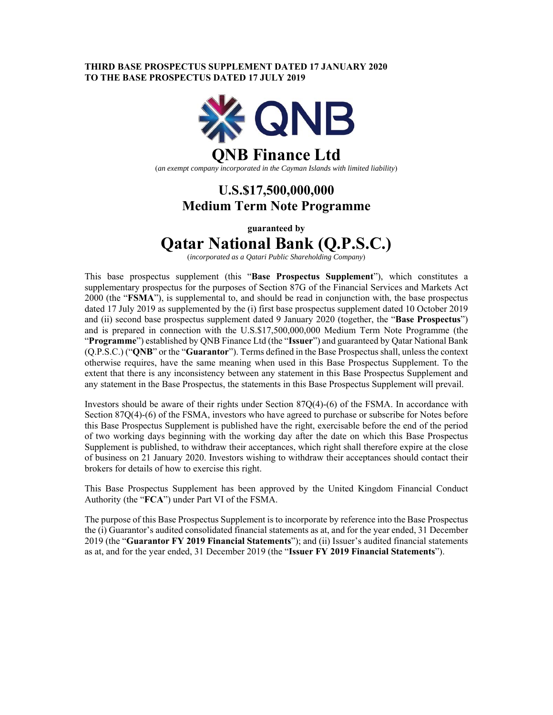### **THIRD BASE PROSPECTUS SUPPLEMENT DATED 17 JANUARY 2020 TO THE BASE PROSPECTUS DATED 17 JULY 2019**



(*an exempt company incorporated in the Cayman Islands with limited liability*)

## **U.S.\$17,500,000,000 Medium Term Note Programme**

**guaranteed by** 

# **Qatar National Bank (Q.P.S.C.)**

(*incorporated as a Qatari Public Shareholding Company*)

This base prospectus supplement (this "**Base Prospectus Supplement**"), which constitutes a supplementary prospectus for the purposes of Section 87G of the Financial Services and Markets Act 2000 (the "**FSMA**"), is supplemental to, and should be read in conjunction with, the base prospectus dated 17 July 2019 as supplemented by the (i) first base prospectus supplement dated 10 October 2019 and (ii) second base prospectus supplement dated 9 January 2020 (together, the "**Base Prospectus**") and is prepared in connection with the U.S.\$17,500,000,000 Medium Term Note Programme (the "**Programme**") established by QNB Finance Ltd (the "**Issuer**") and guaranteed by Qatar National Bank (Q.P.S.C.) ("**QNB**" or the "**Guarantor**"). Terms defined in the Base Prospectus shall, unless the context otherwise requires, have the same meaning when used in this Base Prospectus Supplement. To the extent that there is any inconsistency between any statement in this Base Prospectus Supplement and any statement in the Base Prospectus, the statements in this Base Prospectus Supplement will prevail.

Investors should be aware of their rights under Section 87Q(4)-(6) of the FSMA. In accordance with Section 87Q(4)-(6) of the FSMA, investors who have agreed to purchase or subscribe for Notes before this Base Prospectus Supplement is published have the right, exercisable before the end of the period of two working days beginning with the working day after the date on which this Base Prospectus Supplement is published, to withdraw their acceptances, which right shall therefore expire at the close of business on 21 January 2020. Investors wishing to withdraw their acceptances should contact their brokers for details of how to exercise this right.

This Base Prospectus Supplement has been approved by the United Kingdom Financial Conduct Authority (the "**FCA**") under Part VI of the FSMA.

The purpose of this Base Prospectus Supplement is to incorporate by reference into the Base Prospectus the (i) Guarantor's audited consolidated financial statements as at, and for the year ended, 31 December 2019 (the "**Guarantor FY 2019 Financial Statements**"); and (ii) Issuer's audited financial statements as at, and for the year ended, 31 December 2019 (the "**Issuer FY 2019 Financial Statements**").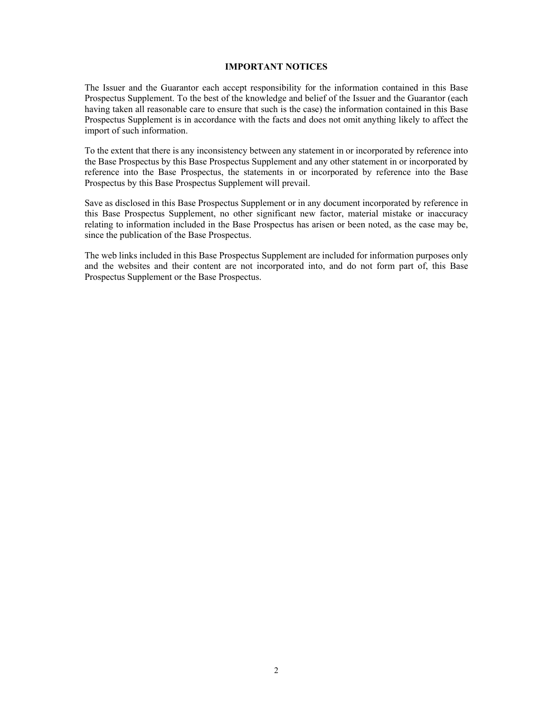### **IMPORTANT NOTICES**

The Issuer and the Guarantor each accept responsibility for the information contained in this Base Prospectus Supplement. To the best of the knowledge and belief of the Issuer and the Guarantor (each having taken all reasonable care to ensure that such is the case) the information contained in this Base Prospectus Supplement is in accordance with the facts and does not omit anything likely to affect the import of such information.

To the extent that there is any inconsistency between any statement in or incorporated by reference into the Base Prospectus by this Base Prospectus Supplement and any other statement in or incorporated by reference into the Base Prospectus, the statements in or incorporated by reference into the Base Prospectus by this Base Prospectus Supplement will prevail.

Save as disclosed in this Base Prospectus Supplement or in any document incorporated by reference in this Base Prospectus Supplement, no other significant new factor, material mistake or inaccuracy relating to information included in the Base Prospectus has arisen or been noted, as the case may be, since the publication of the Base Prospectus.

The web links included in this Base Prospectus Supplement are included for information purposes only and the websites and their content are not incorporated into, and do not form part of, this Base Prospectus Supplement or the Base Prospectus.